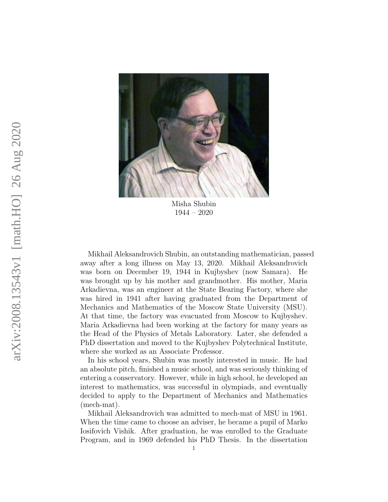

Misha Shubin 1944 – 2020

Mikhail Aleksandrovich Shubin, an outstanding mathematician, passed away after a long illness on May 13, 2020. Mikhail Aleksandrovich was born on December 19, 1944 in Kujbyshev (now Samara). He was brought up by his mother and grandmother. His mother, Maria Arkadievna, was an engineer at the State Bearing Factory, where she was hired in 1941 after having graduated from the Department of Mechanics and Mathematics of the Moscow State University (MSU). At that time, the factory was evacuated from Moscow to Kujbyshev. Maria Arkadievna had been working at the factory for many years as the Head of the Physics of Metals Laboratory. Later, she defended a PhD dissertation and moved to the Kujbyshev Polytechnical Institute, where she worked as an Associate Professor.

In his school years, Shubin was mostly interested in music. He had an absolute pitch, finished a music school, and was seriously thinking of entering a conservatory. However, while in high school, he developed an interest to mathematics, was successful in olympiads, and eventually decided to apply to the Department of Mechanics and Mathematics (mech-mat).

Mikhail Aleksandrovich was admitted to mech-mat of MSU in 1961. When the time came to choose an adviser, he became a pupil of Marko Iosifovich Vishik. After graduation, he was enrolled to the Graduate Program, and in 1969 defended his PhD Thesis. In the dissertation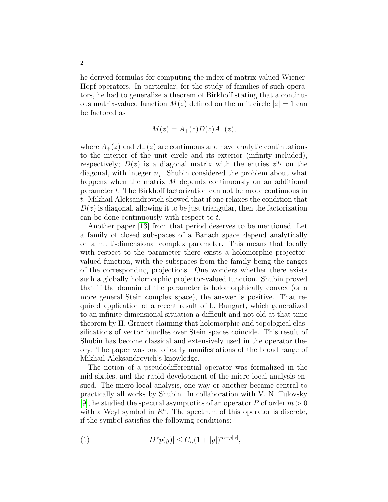he derived formulas for computing the index of matrix-valued Wiener-Hopf operators. In particular, for the study of families of such operators, he had to generalize a theorem of Birkhoff stating that a continuous matrix-valued function  $M(z)$  defined on the unit circle  $|z|=1$  can be factored as

$$
M(z) = A_{+}(z)D(z)A_{-}(z),
$$

where  $A_{+}(z)$  and  $A_{-}(z)$  are continuous and have analytic continuations to the interior of the unit circle and its exterior (infinity included), respectively;  $D(z)$  is a diagonal matrix with the entries  $z^{n_j}$  on the diagonal, with integer  $n_j$ . Shubin considered the problem about what happens when the matrix M depends continuously on an additional parameter t. The Birkhoff factorization can not be made continuous in t. Mikhail Aleksandrovich showed that if one relaxes the condition that  $D(z)$  is diagonal, allowing it to be just triangular, then the factorization can be done continuously with respect to t.

Another paper [\[13\]](#page-8-0) from that period deserves to be mentioned. Let a family of closed subspaces of a Banach space depend analytically on a multi-dimensional complex parameter. This means that locally with respect to the parameter there exists a holomorphic projectorvalued function, with the subspaces from the family being the ranges of the corresponding projections. One wonders whether there exists such a globally holomorphic projector-valued function. Shubin proved that if the domain of the parameter is holomorphically convex (or a more general Stein complex space), the answer is positive. That required application of a recent result of L. Bungart, which generalized to an infinite-dimensional situation a difficult and not old at that time theorem by H. Grauert claiming that holomorphic and topological classifications of vector bundles over Stein spaces coincide. This result of Shubin has become classical and extensively used in the operator theory. The paper was one of early manifestations of the broad range of Mikhail Aleksandrovich's knowledge.

The notion of a pseudodifferential operator was formalized in the mid-sixties, and the rapid development of the micro-local analysis ensued. The micro-local analysis, one way or another became central to practically all works by Shubin. In collaboration with V. N. Tulovsky [\[9\]](#page-8-1), he studied the spectral asymptotics of an operator P of order  $m > 0$ with a Weyl symbol in  $\mathbb{R}^n$ . The spectrum of this operator is discrete, if the symbol satisfies the following conditions:

<span id="page-1-0"></span>(1) 
$$
|D^{\alpha}p(y)| \leq C_{\alpha}(1+|y|)^{m-\rho|\alpha|},
$$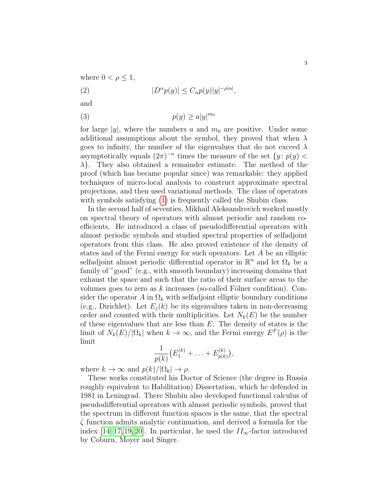where  $0 < \rho \leq 1$ ,

(2) 
$$
|D^{\alpha}p(y)| \leq C_{\alpha}p(y)|y|^{-\rho|\alpha|},
$$

and

$$
(3) \t\t\t p(y) \ge a|y|^{m_0}
$$

for large  $|y|$ , where the numbers a and  $m_0$  are positive. Under some additional assumptions about the symbol, they proved that when  $\lambda$ goes to infinity, the number of the eigenvalues that do not exceed  $\lambda$ asymptotically equals  $(2\pi)^{-n}$  times the measure of the set  $\{y: p(y)$  $\lambda$ . They also obtained a remainder estimate. The method of the proof (which has became popular since) was remarkable: they applied techniques of micro-local analysis to construct approximate spectral projections, and then used variational methods. The class of operators with symbols satisfying [\(1\)](#page-1-0) is frequently called the Shubin class.

In the second half of seventies, Mikhail Aleksandrovich worked mostly on spectral theory of operators with almost periodic and random coefficients. He introduced a class of pseudodifferential operators with almost periodic symbols and studied spectral properties of selfadjoint operators from this class. He also proved existence of the density of states and of the Fermi energy for such operators. Let A be an elliptic selfadjoint almost periodic differential operator in  $\mathbb{R}^n$  and let  $\Omega_k$  be a family of "good" (e.g., with smooth boundary) increasing domains that exhaust the space and such that the ratio of their surface areas to the volumes goes to zero as  $k$  increases (so-called Fölner condition). Consider the operator A in  $\Omega_k$  with selfadjoint elliptic boundary conditions (e.g., Dirichlet). Let  $E_i(k)$  be its eigenvalues taken in non-decreasing order and counted with their multiplicities. Let  $N_k(E)$  be the number of these eigenvalues that are less than  $E$ . The density of states is the limit of  $N_k(E)/|\Omega_k|$  when  $k \to \infty$ , and the Fermi energy  $E^F(\rho)$  is the limit

$$
\frac{1}{p(k)}(E_1^{(k)} + \ldots + E_{p(k)}^{(k)}),
$$

where  $k \to \infty$  and  $p(k)/|\Omega_k| \to \rho$ .

These works constituted his Doctor of Science (the degree in Russia roughly equivalent to Habilitation) Dissertation, which he defended in 1981 in Leningrad. There Shubin also developed functional calculus of pseudodifferential operators with almost periodic symbols, proved that the spectrum in different function spaces is the same, that the spectral ζ function admits analytic continuation, and derived a formula for the index [\[14](#page-8-2)[–17,](#page-8-3) [19,](#page-8-4) [20\]](#page-8-5). In particular, he used the  $II_{\infty}$ -factor introduced by Coburn, Moyer and Singer.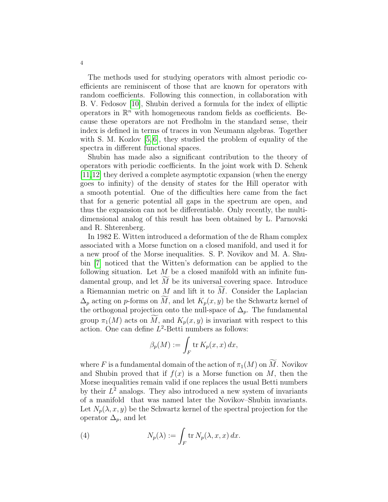The methods used for studying operators with almost periodic coefficients are reminiscent of those that are known for operators with random coefficients. Following this connection, in collaboration with B. V. Fedosov [\[10\]](#page-8-6), Shubin derived a formula for the index of elliptic operators in  $\mathbb{R}^n$  with homogeneous random fields as coefficients. Because these operators are not Fredholm in the standard sense, their index is defined in terms of traces in von Neumann algebras. Together with S. M. Kozlov [\[5,](#page-7-0) [6\]](#page-7-1), they studied the problem of equality of the spectra in different functional spaces.

Shubin has made also a significant contribution to the theory of operators with periodic coefficients. In the joint work with D. Schenk [\[11,](#page-8-7)[12\]](#page-8-8) they derived a complete asymptotic expansion (when the energy goes to infinity) of the density of states for the Hill operator with a smooth potential. One of the difficulties here came from the fact that for a generic potential all gaps in the spectrum are open, and thus the expansion can not be differentiable. Only recently, the multidimensional analog of this result has been obtained by L. Parnovski and R. Shterenberg.

In 1982 E. Witten introduced a deformation of the de Rham complex associated with a Morse function on a closed manifold, and used it for a new proof of the Morse inequalities. S. P. Novikov and M. A. Shubin [\[7\]](#page-7-2) noticed that the Witten's deformation can be applied to the following situation. Let  $M$  be a closed manifold with an infinite fundamental group, and let  $M$  be its universal covering space. Introduce a Riemannian metric on  $M$  and lift it to  $\widetilde{M}$ . Consider the Laplacian  $\Delta_p$  acting on p-forms on  $\widetilde{M}$ , and let  $K_p(x, y)$  be the Schwartz kernel of the orthogonal projection onto the null-space of  $\Delta_p$ . The fundamental group  $\pi_1(M)$  acts on  $\overline{M}$ , and  $K_p(x, y)$  is invariant with respect to this action. One can define  $L^2$ -Betti numbers as follows:

$$
\beta_p(M) := \int_F \operatorname{tr} K_p(x, x) \, dx,
$$

where F is a fundamental domain of the action of  $\pi_1(M)$  on  $\widetilde{M}$ . Novikov and Shubin proved that if  $f(x)$  is a Morse function on M, then the Morse inequalities remain valid if one replaces the usual Betti numbers by their  $L^2$  analogs. They also introduced a new system of invariants of a manifold that was named later the Novikov–Shubin invariants. Let  $N_p(\lambda, x, y)$  be the Schwartz kernel of the spectral projection for the operator  $\Delta_p$ , and let

(4) 
$$
N_p(\lambda) := \int_F \text{tr } N_p(\lambda, x, x) dx.
$$

4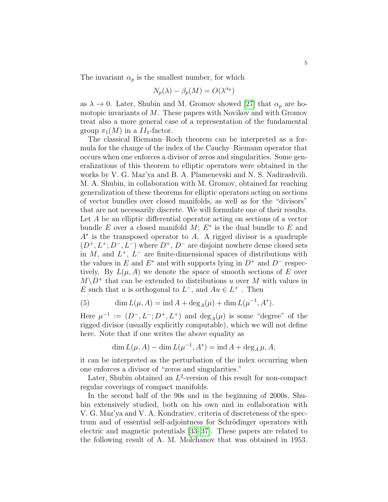The invariant  $\alpha_p$  is the smallest number, for which

$$
N_p(\lambda) - \beta_p(M) = O(\lambda^{\alpha_p})
$$

as  $\lambda \to 0$ . Later, Shubin and M. Gromov showed [\[27\]](#page-8-9) that  $\alpha_p$  are homotopic invariants of M. These papers with Novikov and with Gromov treat also a more general case of a representation of the fundamental group  $\pi_1(M)$  in a  $II_1$ -factor.

The classical Riemann–Roch theorem can be interpreted as a formula for the change of the index of the Cauchy–Riemann operator that occurs when one enforces a divisor of zeros and singularities. Some generalizations of this theorem to elliptic operators were obtained in the works by V. G. Maz'ya and B. A. Plamenevski and N. S. Nadirashvili. M. A. Shubin, in collaboration with M. Gromov, obtained far reaching generalization of these theorems for elliptic operators acting on sections of vector bundles over closed manifolds, as well as for the "divisors" that are not necessarily discrete. We will formulate one of their results. Let A be an elliptic differential operator acting on sections of a vector bundle  $E$  over a closed manifold  $M$ ;  $E^*$  is the dual bundle to  $E$  and A∗ is the transposed operator to A. A rigged divisor is a quadruple  $(D^+, L^+, D^-, L^-)$  where  $D^+, D^-$  are disjoint nowhere dense closed sets in  $M$ , and  $L^+$ ,  $L^-$  are finite-dimensional spaces of distributions with the values in E and  $E^*$  and with supports lying in  $D^+$  and  $D^-$  respectively. By  $L(\mu, A)$  we denote the space of smooth sections of E over  $M\backslash D^+$  that can be extended to distributions u over M with values in E such that u is orthogonal to  $L^-$ , and  $Au \in L^+$ . Then

(5) 
$$
\dim L(\mu, A) = \text{ind } A + \deg_A(\mu) + \dim L(\mu^{-1}, A^*).
$$

Here  $\mu^{-1} := (D^-, L^-; D^+, L^+)$  and  $\deg_A(\mu)$  is some "degree" of the rigged divisor (usually explicitly computable), which we will not define here. Note that if one writes the above equality as

$$
\dim L(\mu, A) - \dim L(\mu^{-1}, A^*) = \text{ind } A + \deg_A \mu, A,
$$

it can be interpreted as the perturbation of the index occurring when one enforces a divisor of "zeros and singularities."

Later, Shubin obtained an  $L^2$ -version of this result for non-compact regular coverings of compact manifolds.

In the second half of the 90s and in the beginning of 2000s, Shubin extensively studied, both on his own and in collaboration with V. G. Maz'ya and V. A. Kondratiev, criteria of discreteness of the spectrum and of essential self-adjointness for Schrödinger operators with electric and magnetic potentials [\[33](#page-9-0)[–37\]](#page-9-1). These papers are related to the following result of A. M. Molchanov that was obtained in 1953.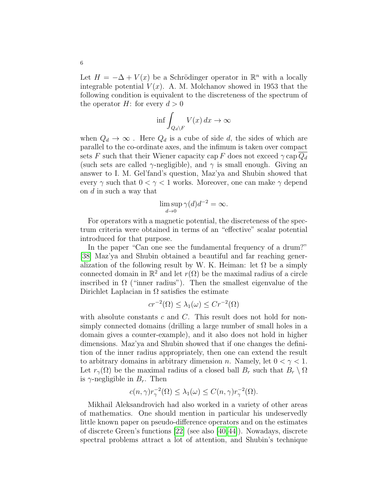Let  $H = -\Delta + V(x)$  be a Schrödinger operator in  $\mathbb{R}^n$  with a locally integrable potential  $V(x)$ . A. M. Molchanov showed in 1953 that the following condition is equivalent to the discreteness of the spectrum of the operator H: for every  $d > 0$ 

$$
\inf \int_{Q_d \backslash F} V(x) \, dx \to \infty
$$

when  $Q_d \to \infty$ . Here  $Q_d$  is a cube of side d, the sides of which are parallel to the co-ordinate axes, and the infimum is taken over compact sets F such that their Wiener capacity cap F does not exceed  $\gamma$  cap  $Q_d$ (such sets are called  $\gamma$ -negligible), and  $\gamma$  is small enough. Giving an answer to I. M. Gel'fand's question, Maz'ya and Shubin showed that every  $\gamma$  such that  $0 < \gamma < 1$  works. Moreover, one can make  $\gamma$  depend on d in such a way that

$$
\limsup_{d \to 0} \gamma(d)d^{-2} = \infty.
$$

For operators with a magnetic potential, the discreteness of the spectrum criteria were obtained in terms of an "effective" scalar potential introduced for that purpose.

In the paper "Can one see the fundamental frequency of a drum?" [\[38\]](#page-9-2) Maz'ya and Shubin obtained a beautiful and far reaching generalization of the following result by W. K. Heiman: let  $\Omega$  be a simply connected domain in  $\mathbb{R}^2$  and let  $r(\Omega)$  be the maximal radius of a circle inscribed in  $\Omega$  ("inner radius"). Then the smallest eigenvalue of the Dirichlet Laplacian in  $\Omega$  satisfies the estimate

$$
cr^{-2}(\Omega) \le \lambda_1(\omega) \le Cr^{-2}(\Omega)
$$

with absolute constants  $c$  and  $C$ . This result does not hold for nonsimply connected domains (drilling a large number of small holes in a domain gives a counter-example), and it also does not hold in higher dimensions. Maz'ya and Shubin showed that if one changes the definition of the inner radius appropriately, then one can extend the result to arbitrary domains in arbitrary dimension n. Namely, let  $0 < \gamma < 1$ . Let  $r_{\gamma}(\Omega)$  be the maximal radius of a closed ball  $B_r$  such that  $B_r \setminus \Omega$ is  $\gamma$ -negligible in  $B_r$ . Then

$$
c(n,\gamma)r_{\gamma}^{-2}(\Omega) \leq \lambda_1(\omega) \leq C(n,\gamma)r_{\gamma}^{-2}(\Omega).
$$

Mikhail Aleksandrovich had also worked in a variety of other areas of mathematics. One should mention in particular his undeservedly little known paper on pseudo-difference operators and on the estimates of discrete Green's functions [\[22\]](#page-8-10) (see also [\[40,](#page-9-3)[44\]](#page-9-4)). Nowadays, discrete spectral problems attract a lot of attention, and Shubin's technique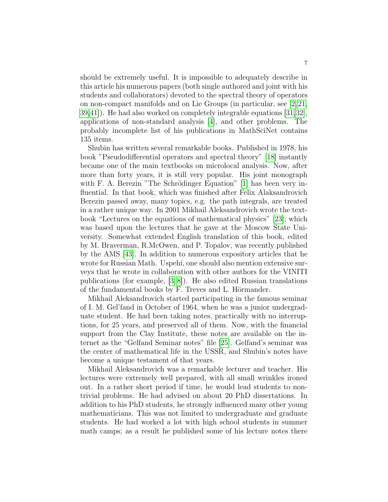should be extremely useful. It is impossible to adequately describe in this article his numerous papers (both single authored and joint with his students and collaborators) devoted to the spectral theory of operators on non-compact manifolds and on Lie Groups (in particular, see [\[2,](#page-7-3)[21,](#page-8-11) [39,](#page-9-5)[41\]](#page-9-6)). He had also worked on completely integrable equations [\[31,](#page-9-7)[32\]](#page-9-8), applications of non-standard analysis [\[4\]](#page-7-4), and other problems. The probably incomplete list of his publications in MathSciNet contains 135 items.

Shubin has written several remarkable books. Published in 1978, his book "Pseudodifferential operators and spectral theory" [\[18\]](#page-8-12) instantly became one of the main textbooks on microlocal analysis. Now, after more than forty years, it is still very popular. His joint monograph with F. A. Berezin "The Schrödinger Equation"  $[1]$  has been very influential. In that book, which was finished after Felix Alaksandrovich Berezin passed away, many topics, e.g. the path integrals, are treated in a rather unique way. In 2001 Mikhail Aleksandrovich wrote the textbook "Lectures on the equations of mathematical physics" [\[23\]](#page-8-13), which was based upon the lectures that he gave at the Moscow State University. Somewhat extended English translation of this book, edited by M. Braverman, R.McOwen, and P. Topalov, was recently published by the AMS [\[43\]](#page-9-9). In addition to numerous expository articles that he wrote for Russian Math. Uspehi, one should also mention extensive surveys that he wrote in collaboration with other authors for the VINITI publications (for example, [\[3,](#page-7-6) [8\]](#page-7-7)). He also edited Russian translations of the fundamental books by F. Treves and L. Hörmander.

Mikhail Aleksandrovich started participating in the famous seminar of I. M. Gel'fand in October of 1964, when he was a junior undergraduate student. He had been taking notes, practically with no interruptions, for 25 years, and preserved all of them. Now, with the financial support from the Clay Institute, these notes are available on the internet as the "Gelfand Seminar notes" file [\[25\]](#page-8-14). Gelfand's seminar was the center of mathematical life in the USSR, and Shubin's notes have become a unique testament of that years.

Mikhail Aleksandrovich was a remarkable lecturer and teacher. His lectures were extremely well prepared, with all small wrinkles ironed out. In a rather short period if time, he would lead students to nontrivial problems. He had advised on about 20 PhD dissertations. In addition to his PhD students, he strongly influenced many other young mathematicians. This was not limited to undergraduate and graduate students. He had worked a lot with high school students in summer math camps; as a result he published some of his lecture notes there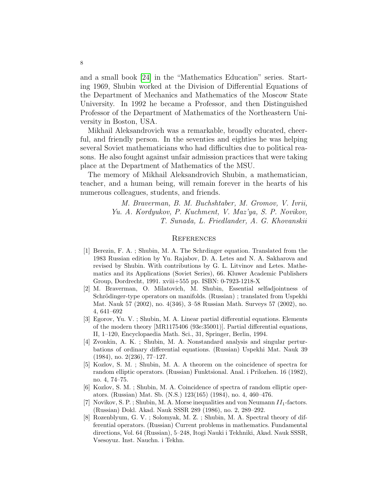and a small book [\[24\]](#page-8-15) in the "Mathematics Education" series. Starting 1969, Shubin worked at the Division of Differential Equations of the Department of Mechanics and Mathematics of the Moscow State University. In 1992 he became a Professor, and then Distinguished Professor of the Department of Mathematics of the Northeastern University in Boston, USA.

Mikhail Aleksandrovich was a remarkable, broadly educated, cheerful, and friendly person. In the seventies and eighties he was helping several Soviet mathematicians who had difficulties due to political reasons. He also fought against unfair admission practices that were taking place at the Department of Mathematics of the MSU.

The memory of Mikhail Aleksandrovich Shubin, a mathematician, teacher, and a human being, will remain forever in the hearts of his numerous colleagues, students, and friends.

> M. Braverman, B. M. Buchshtaber, M. Gromov, V. Ivrii, Yu. A. Kordyukov, P. Kuchment, V. Maz'ya, S. P. Novikov, T. Sunada, L. Friedlander, A. G. Khovanskii

## **REFERENCES**

- <span id="page-7-5"></span>[1] Berezin, F. A. ; Shubin, M. A. The Schrdinger equation. Translated from the 1983 Russian edition by Yu. Rajabov, D. A. Letes and N. A. Sakharova and revised by Shubin. With contributions by G. L. Litvinov and Letes. Mathematics and its Applications (Soviet Series), 66. Kluwer Academic Publishers Group, Dordrecht, 1991. xviii+555 pp. ISBN: 0-7923-1218-X
- <span id="page-7-3"></span>[2] M. Braverman, O. Milatovich, M. Shubin, Essential selfadjointness of Schrödinger-type operators on manifolds. (Russian) ; translated from Uspekhi Mat. Nauk 57 (2002), no. 4(346), 3–58 Russian Math. Surveys 57 (2002), no. 4, 641–692
- <span id="page-7-6"></span>[3] Egorov, Yu. V. ; Shubin, M. A. Linear partial differential equations. Elements of the modern theory [MR1175406 (93e:35001)]. Partial differential equations, II, 1–120, Encyclopaedia Math. Sci., 31, Springer, Berlin, 1994.
- <span id="page-7-4"></span>[4] Zvonkin, A. K. ; Shubin, M. A. Nonstandard analysis and singular perturbations of ordinary differential equations. (Russian) Uspekhi Mat. Nauk 39 (1984), no. 2(236), 77–127.
- <span id="page-7-0"></span>[5] Kozlov, S. M. ; Shubin, M. A. A theorem on the coincidence of spectra for random elliptic operators. (Russian) Funktsional. Anal. i Prilozhen. 16 (1982), no. 4, 74–75.
- <span id="page-7-1"></span>[6] Kozlov, S. M. ; Shubin, M. A. Coincidence of spectra of random elliptic operators. (Russian) Mat. Sb. (N.S.) 123(165) (1984), no. 4, 460–476.
- <span id="page-7-2"></span>[7] Novikov, S. P. ; Shubin, M. A. Morse inequalities and von Neumann  $II_1$ -factors. (Russian) Dokl. Akad. Nauk SSSR 289 (1986), no. 2, 289–292.
- <span id="page-7-7"></span>[8] Rozenblyum, G. V. ; Solomyak, M. Z. ; Shubin, M. A. Spectral theory of differential operators. (Russian) Current problems in mathematics. Fundamental directions, Vol. 64 (Russian), 5–248, Itogi Nauki i Tekhniki, Akad. Nauk SSSR, Vsesoyuz. Inst. Nauchn. i Tekhn.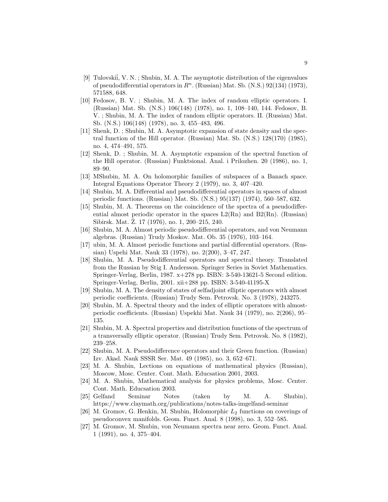- <span id="page-8-1"></span>[9] Tulovskii, V. N.; Shubin, M. A. The asymptotic distribution of the eigenvalues of pseudodifferential operators in  $\mathbb{R}^n$ . (Russian) Mat. Sb. (N.S.) 92(134) (1973), 571588, 648.
- <span id="page-8-6"></span>[10] Fedosov, B. V. ; Shubin, M. A. The index of random elliptic operators. I. (Russian) Mat. Sb. (N.S.) 106(148) (1978), no. 1, 108–140, 144. Fedosov, B. V. ; Shubin, M. A. The index of random elliptic operators. II. (Russian) Mat. Sb. (N.S.) 106(148) (1978), no. 3, 455–483, 496.
- <span id="page-8-7"></span>[11] Shenk, D. ; Shubin, M. A. Asymptotic expansion of state density and the spectral function of the Hill operator. (Russian) Mat. Sb. (N.S.) 128(170) (1985), no. 4, 474–491, 575.
- <span id="page-8-8"></span>[12] Shenk, D. ; Shubin, M. A. Asymptotic expansion of the spectral function of the Hill operator. (Russian) Funktsional. Anal. i Prilozhen. 20 (1986), no. 1, 89–90.
- <span id="page-8-0"></span>[13] MShubin, M. A. On holomorphic families of subspaces of a Banach space. Integral Equations Operator Theory 2 (1979), no. 3, 407–420.
- <span id="page-8-2"></span>[14] Shubin, M. A. Differential and pseudodifferential operators in spaces of almost periodic functions. (Russian) Mat. Sb. (N.S.) 95(137) (1974), 560–587, 632.
- [15] Shubin, M. A. Theorems on the coincidence of the spectra of a pseudodifferential almost periodic operator in the spaces  $L_2(Rn)$  and  $B_2(Rn)$ . (Russian) Sibirsk. Mat. Z. 17 (1976), no. 1, 200–215, 240.
- [16] Shubin, M. A. Almost periodic pseudodifferential operators, and von Neumann algebras. (Russian) Trudy Moskov. Mat. Ob. 35 (1976), 103–164.
- <span id="page-8-3"></span>[17] ubin, M. A. Almost periodic functions and partial differential operators. (Russian) Uspehi Mat. Nauk 33 (1978), no. 2(200), 3–47, 247.
- <span id="page-8-12"></span>[18] Shubin, M. A. Pseudodifferential operators and spectral theory. Translated from the Russian by Stig I. Andersson. Springer Series in Soviet Mathematics. Springer-Verlag, Berlin, 1987. x+278 pp. ISBN: 3-540-13621-5 Second edition. Springer-Verlag, Berlin, 2001. xii+288 pp. ISBN: 3-540-41195-X
- <span id="page-8-4"></span>[19] Shubin, M. A. The density of states of selfadjoint elliptic operators with almost periodic coefficients. (Russian) Trudy Sem. Petrovsk. No. 3 (1978), 243275.
- <span id="page-8-5"></span>[20] Shubin, M. A. Spectral theory and the index of elliptic operators with almostperiodic coefficients. (Russian) Uspekhi Mat. Nauk 34 (1979), no. 2(206), 95– 135.
- <span id="page-8-11"></span>[21] Shubin, M. A. Spectral properties and distribution functions of the spectrum of a transversally elliptic operator. (Russian) Trudy Sem. Petrovsk. No. 8 (1982), 239–258.
- <span id="page-8-10"></span>[22] Shubin, M. A. Pseudodifference operators and their Green function. (Russian) Izv. Akad. Nauk SSSR Ser. Mat. 49 (1985), no. 3, 652–671.
- <span id="page-8-13"></span>[23] M. A. Shubin, Lections on equations of mathematical physics (Russian), Moscow, Mosc. Center. Cont. Math. Educsation 2001, 2003.
- <span id="page-8-15"></span>[24] M. A. Shubin, Mathematical analysis for physics problems, Mosc. Center. Cont. Math. Educsation 2003.
- <span id="page-8-14"></span>[25] Gelfand Seminar Notes (taken by M. A. Shubin), https://www.claymath.org/publications/notes-talks-imgelfand-seminar
- [26] M. Gromov, G. Henkin, M. Shubin, Holomorphic  $L_2$  functions on coverings of pseudoconvex manifolds. Geom. Funct. Anal. 8 (1998), no. 3, 552–585.
- <span id="page-8-9"></span>[27] M. Gromov, M. Shubin, von Neumann spectra near zero. Geom. Funct. Anal. 1 (1991), no. 4, 375–404.